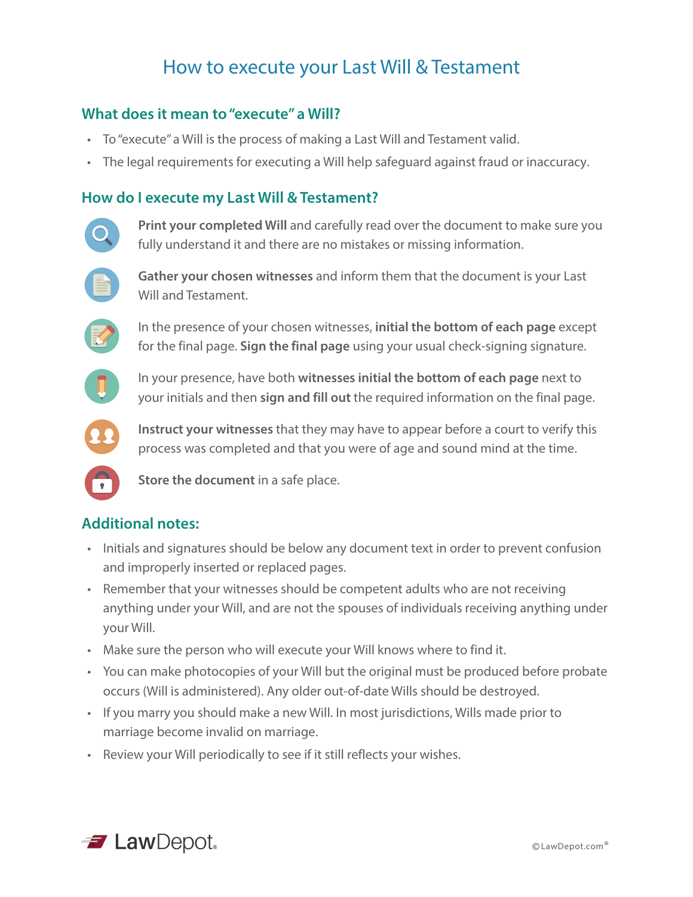## How to execute your Last Will & Testament

### **What does it mean to "execute" a Will?**

- To "execute" a Will is the process of making a Last Will and Testament valid.
- The legal requirements for executing a Will help safeguard against fraud or inaccuracy.

### **How do I execute my Last Will & Testament?**



**Print your completed Will** and carefully read over the document to make sure you fully understand it and there are no mistakes or missing information.



**Gather your chosen witnesses** and inform them that the document is your Last Will and Testament.



In the presence of your chosen witnesses, **initial the bottom of each page** except for the final page. **Sign the final page** using your usual check-signing signature.



In your presence, have both **witnesses initial the bottom of each page** next to your initials and then **sign and fill out** the required information on the final page.



**Instruct your witnesses** that they may have to appear before a court to verify this process was completed and that you were of age and sound mind at the time.



**Store the document** in a safe place.

## **Additional notes:**

- Initials and signatures should be below any document text in order to prevent confusion and improperly inserted or replaced pages.
- Remember that your witnesses should be competent adults who are not receiving anything under your Will, and are not the spouses of individuals receiving anything under your Will.
- Make sure the person who will execute your Will knows where to find it.
- You can make photocopies of your Will but the original must be produced before probate occurs (Will is administered). Any older out-of-date Wills should be destroyed.
- If you marry you should make a new Will. In most jurisdictions, Wills made prior to marriage become invalid on marriage.
- Review your Will periodically to see if it still reflects your wishes.